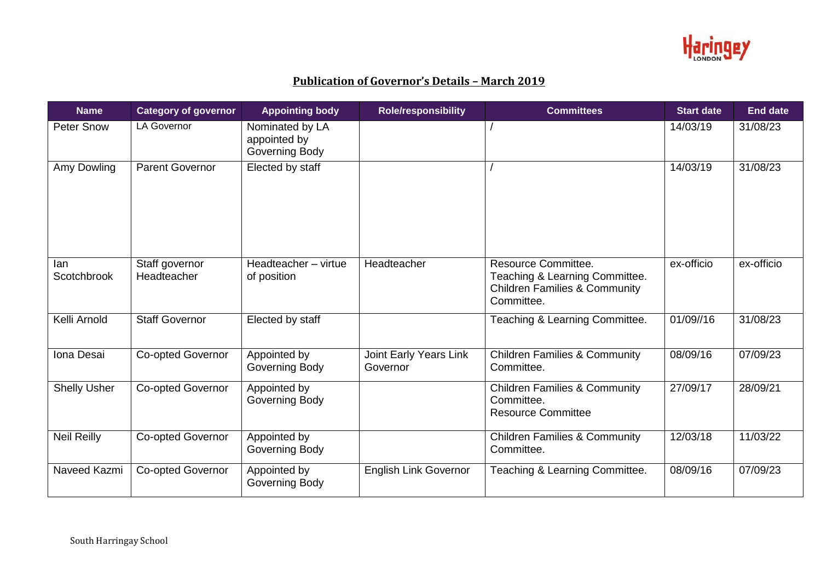

## **Publication of Governor's Details – March 2019**

| <b>Name</b>         | <b>Category of governor</b>   | <b>Appointing body</b>                            | <b>Role/responsibility</b>         | <b>Committees</b>                                                                                               | <b>Start date</b> | <b>End date</b> |
|---------------------|-------------------------------|---------------------------------------------------|------------------------------------|-----------------------------------------------------------------------------------------------------------------|-------------------|-----------------|
| <b>Peter Snow</b>   | <b>LA Governor</b>            | Nominated by LA<br>appointed by<br>Governing Body |                                    |                                                                                                                 | 14/03/19          | 31/08/23        |
| Amy Dowling         | <b>Parent Governor</b>        | Elected by staff                                  |                                    |                                                                                                                 | 14/03/19          | 31/08/23        |
| lan<br>Scotchbrook  | Staff governor<br>Headteacher | Headteacher - virtue<br>of position               | Headteacher                        | Resource Committee.<br>Teaching & Learning Committee.<br><b>Children Families &amp; Community</b><br>Committee. | ex-officio        | ex-officio      |
| Kelli Arnold        | <b>Staff Governor</b>         | Elected by staff                                  |                                    | Teaching & Learning Committee.                                                                                  | 01/09//16         | 31/08/23        |
| Iona Desai          | Co-opted Governor             | Appointed by<br>Governing Body                    | Joint Early Years Link<br>Governor | <b>Children Families &amp; Community</b><br>Committee.                                                          | 08/09/16          | 07/09/23        |
| <b>Shelly Usher</b> | <b>Co-opted Governor</b>      | Appointed by<br>Governing Body                    |                                    | <b>Children Families &amp; Community</b><br>Committee.<br><b>Resource Committee</b>                             | 27/09/17          | 28/09/21        |
| <b>Neil Reilly</b>  | <b>Co-opted Governor</b>      | Appointed by<br>Governing Body                    |                                    | <b>Children Families &amp; Community</b><br>Committee.                                                          | 12/03/18          | 11/03/22        |
| Naveed Kazmi        | <b>Co-opted Governor</b>      | Appointed by<br>Governing Body                    | <b>English Link Governor</b>       | Teaching & Learning Committee.                                                                                  | 08/09/16          | 07/09/23        |